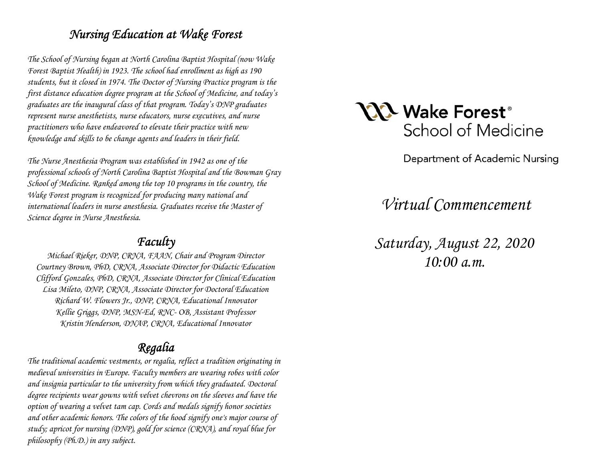## *Nursing Education at Wake Forest*

*The School of Nursing began at North Carolina Baptist Hospital (now Wake Forest Baptist Health) in 1923. The school had enrollment as high as 190 students, but it closed in 1974. The Doctor of Nursing Practice program is the first distance education degree program at the School of Medicine, and today's graduates are the inaugural class of that program. Today's DNP graduates represent nurse anesthetists, nurse educators, nurse executives, and nurse practitioners who have endeavored to elevate their practice with new knowledge and skills to be change agents and leaders in their field.* 

*The Nurse Anesthesia Program was established in 1942 as one of the professional schools of North Carolina Baptist Hospital and the Bowman Gray School of Medicine. Ranked among the top 10 programs in the country, the Wake Forest program is recognized for producing many national and international leaders in nurse anesthesia. Graduates receive the Master of Science degree in Nurse Anesthesia.* 

## *Faculty*

*Michael Rieker, DNP, CRNA, FAAN, Chair and Program Director Courtney Brown, PhD, CRNA, Associate Director for Didactic Education Clifford Gonzales, PhD, CRNA, Associate Director for Clinical Education Lisa Mileto, DNP, CRNA, Associate Director for Doctoral Education Richard W. Flowers Jr., DNP, CRNA, Educational Innovator Kellie Griggs, DNP, MSN-Ed, RNC- OB, Assistant Professor Kristin Henderson, DNAP, CRNA, Educational Innovator* 

# *Regalia*

*The traditional academic vestments, or regalia, reflect a tradition originating in medieval universities in Europe. Faculty members are wearing robes with color and insignia particular to the university from which they graduated. Doctoral degree recipients wear gowns with velvet chevrons on the sleeves and have the option of wearing a velvet tam cap. Cords and medals signify honor societies and other academic honors. The colors of the hood signify one's major course of study; apricot for nursing (DNP), gold for science (CRNA), and royal blue for philosophy (Ph.D.) in any subject.* 



Department of Academic Nursing

*Virtual Commencement* 

*Saturday, August 22, 2020 10:00 a.m.*